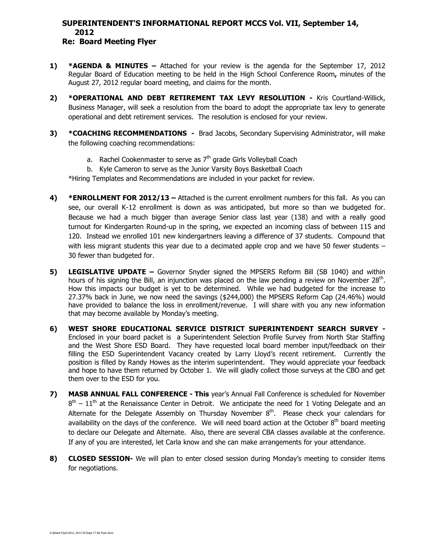# **SUPERINTENDENT'S INFORMATIONAL REPORT MCCS Vol. VII, September 14, 2012**

## **Re: Board Meeting Flyer**

- **1) \*AGENDA & MINUTES –** Attached for your review is the agenda for the September 17, 2012 Regular Board of Education meeting to be held in the High School Conference Room**,** minutes of the August 27, 2012 regular board meeting, and claims for the month.
- **2) \*OPERATIONAL AND DEBT RETIREMENT TAX LEVY RESOLUTION -** Kris Courtland-Willick, Business Manager, will seek a resolution from the board to adopt the appropriate tax levy to generate operational and debt retirement services. The resolution is enclosed for your review.
- **3) \*COACHING RECOMMENDATIONS** Brad Jacobs, Secondary Supervising Administrator, will make the following coaching recommendations:
	- a. Rachel Cookenmaster to serve as  $7<sup>th</sup>$  grade Girls Volleyball Coach
	- b. Kyle Cameron to serve as the Junior Varsity Boys Basketball Coach

\*Hiring Templates and Recommendations are included in your packet for review.

- **4) \*ENROLLMENT FOR 2012/13 –** Attached is the current enrollment numbers for this fall. As you can see, our overall K-12 enrollment is down as was anticipated, but more so than we budgeted for. Because we had a much bigger than average Senior class last year (138) and with a really good turnout for Kindergarten Round-up in the spring, we expected an incoming class of between 115 and 120. Instead we enrolled 101 new kindergartners leaving a difference of 37 students. Compound that with less migrant students this year due to a decimated apple crop and we have 50 fewer students – 30 fewer than budgeted for.
- **5) LEGISLATIVE UPDATE –** Governor Snyder signed the MPSERS Reform Bill (SB 1040) and within hours of his signing the Bill, an injunction was placed on the law pending a review on November 28<sup>th</sup>. How this impacts our budget is yet to be determined. While we had budgeted for the increase to 27.37% back in June, we now need the savings (\$244,000) the MPSERS Reform Cap (24.46%) would have provided to balance the loss in enrollment/revenue. I will share with you any new information that may become available by Monday's meeting.
- **6) WEST SHORE EDUCATIONAL SERVICE DISTRICT SUPERINTENDENT SEARCH SURVEY -** Enclosed in your board packet is a Superintendent Selection Profile Survey from North Star Staffing and the West Shore ESD Board. They have requested local board member input/feedback on their filling the ESD Superintendent Vacancy created by Larry Lloyd's recent retirement. Currently the position is filled by Randy Howes as the interim superintendent. They would appreciate your feedback and hope to have them returned by October 1. We will gladly collect those surveys at the CBO and get them over to the ESD for you.
- **7) MASB ANNUAL FALL CONFERENCE - This** year's Annual Fall Conference is scheduled for November  $8<sup>th</sup>$  –  $11<sup>th</sup>$  at the Renaissance Center in Detroit. We anticipate the need for 1 Voting Delegate and an Alternate for the Delegate Assembly on Thursday November  $8<sup>th</sup>$ . Please check your calendars for availability on the days of the conference. We will need board action at the October  $8<sup>th</sup>$  board meeting to declare our Delegate and Alternate. Also, there are several CBA classes available at the conference. If any of you are interested, let Carla know and she can make arrangements for your attendance.
- **8) CLOSED SESSION-** We will plan to enter closed session during Monday's meeting to consider items for negotiations.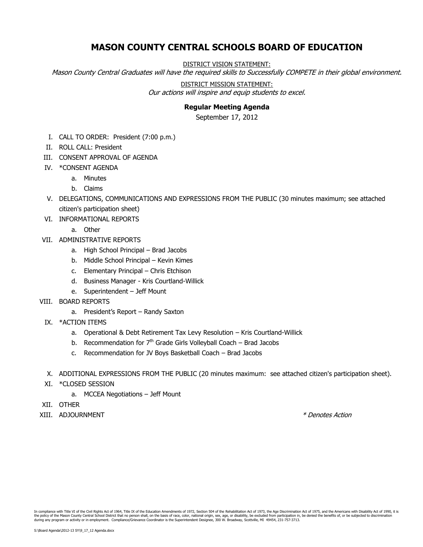# **MASON COUNTY CENTRAL SCHOOLS BOARD OF EDUCATION**

DISTRICT VISION STATEMENT:

Mason County Central Graduates will have the required skills to Successfully COMPETE in their global environment.

#### DISTRICT MISSION STATEMENT:

Our actions will inspire and equip students to excel.

### **Regular Meeting Agenda**

September 17, 2012

- I. CALL TO ORDER: President (7:00 p.m.)
- II. ROLL CALL: President
- III. CONSENT APPROVAL OF AGENDA
- IV. \*CONSENT AGENDA
	- a. Minutes
		- b. Claims
- V. DELEGATIONS, COMMUNICATIONS AND EXPRESSIONS FROM THE PUBLIC (30 minutes maximum; see attached citizen's participation sheet)
- VI. INFORMATIONAL REPORTS

a. Other

- VII. ADMINISTRATIVE REPORTS
	- a. High School Principal Brad Jacobs
	- b. Middle School Principal Kevin Kimes
	- c. Elementary Principal Chris Etchison
	- d. Business Manager Kris Courtland-Willick
	- e. Superintendent Jeff Mount
- VIII. BOARD REPORTS
	- a. President's Report Randy Saxton
	- IX. \*ACTION ITEMS
		- a. Operational & Debt Retirement Tax Levy Resolution Kris Courtland-Willick
		- b. Recommendation for  $7<sup>th</sup>$  Grade Girls Volleyball Coach Brad Jacobs
		- c. Recommendation for JV Boys Basketball Coach Brad Jacobs
	- X. ADDITIONAL EXPRESSIONS FROM THE PUBLIC (20 minutes maximum: see attached citizen's participation sheet).
	- XI. \*CLOSED SESSION
		- a. MCCEA Negotiations Jeff Mount
- XII. OTHER
- XIII. ADJOURNMENT \* \* Denotes Action